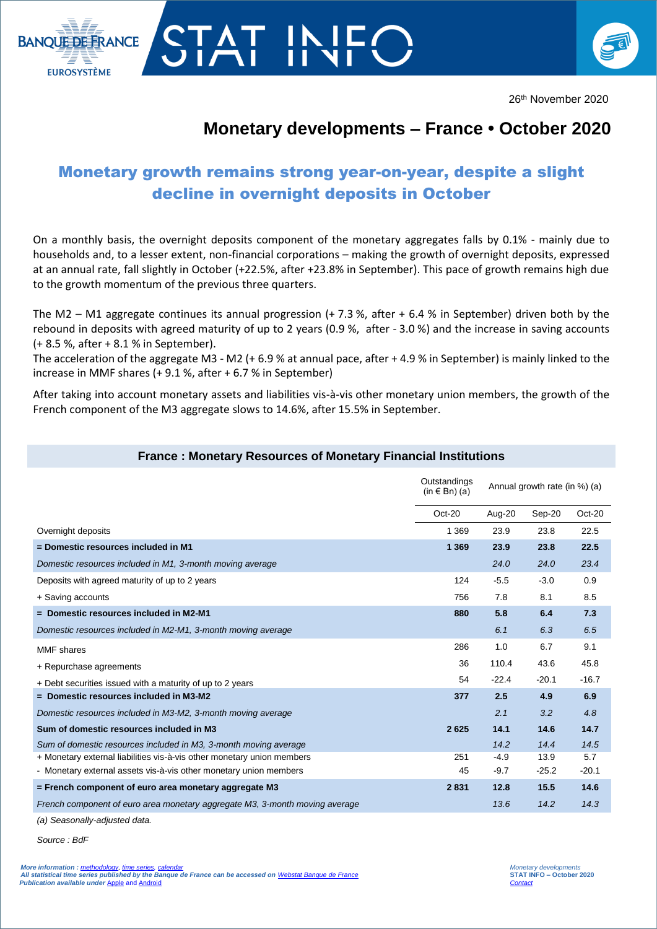

# TAT IN **BANQUE DE FRANCE EUROSYSTÈME**

## **Monetary developments – France • October 2020**

### Monetary growth remains strong year-on-year, despite a slight decline in overnight deposits in October

On a monthly basis, the overnight deposits component of the monetary aggregates falls by 0.1% - mainly due to households and, to a lesser extent, non-financial corporations – making the growth of overnight deposits, expressed at an annual rate, fall slightly in October (+22.5%, after +23.8% in September). This pace of growth remains high due to the growth momentum of the previous three quarters.

The M2 – M1 aggregate continues its annual progression (+ 7.3 %, after + 6.4 % in September) driven both by the rebound in deposits with agreed maturity of up to 2 years (0.9 %, after - 3.0 %) and the increase in saving accounts (+ 8.5 %, after + 8.1 % in September).

The acceleration of the aggregate M3 - M2 (+ 6.9 % at annual pace, after + 4.9 % in September) is mainly linked to the increase in MMF shares (+ 9.1 %, after + 6.7 % in September)

After taking into account monetary assets and liabilities vis-à-vis other monetary union members, the growth of the French component of the M3 aggregate slows to 14.6%, after 15.5% in September.

### **France : Monetary Resources of Monetary Financial Institutions**

|                                                                             | Outstandings<br>$(in \in Bn)$ (a) | Annual growth rate (in %) (a) |         |          |
|-----------------------------------------------------------------------------|-----------------------------------|-------------------------------|---------|----------|
|                                                                             | $Oct-20$                          | Aug-20                        | Sep-20  | $Oct-20$ |
| Overnight deposits                                                          | 1 3 6 9                           | 23.9                          | 23.8    | 22.5     |
| = Domestic resources included in M1                                         | 1 3 6 9                           | 23.9                          | 23.8    | 22.5     |
| Domestic resources included in M1, 3-month moving average                   |                                   | 24.0                          | 24.0    | 23.4     |
| Deposits with agreed maturity of up to 2 years                              | 124                               | $-5.5$                        | $-3.0$  | 0.9      |
| + Saving accounts                                                           | 756                               | 7.8                           | 8.1     | 8.5      |
| = Domestic resources included in M2-M1                                      | 880                               | 5.8                           | 6.4     | 7.3      |
| Domestic resources included in M2-M1, 3-month moving average                |                                   | 6.1                           | 6.3     | 6.5      |
| <b>MMF</b> shares                                                           | 286                               | 1.0                           | 6.7     | 9.1      |
| + Repurchase agreements                                                     | 36                                | 110.4                         | 43.6    | 45.8     |
| + Debt securities issued with a maturity of up to 2 years                   | 54                                | $-22.4$                       | $-20.1$ | $-16.7$  |
| = Domestic resources included in M3-M2                                      | 377                               | 2.5                           | 4.9     | 6.9      |
| Domestic resources included in M3-M2, 3-month moving average                |                                   | 2.1                           | 3.2     | 4.8      |
| Sum of domestic resources included in M3                                    | 2625                              | 14.1                          | 14.6    | 14.7     |
| Sum of domestic resources included in M3, 3-month moving average            |                                   | 14.2                          | 14.4    | 14.5     |
| + Monetary external liabilities vis-à-vis other monetary union members      | 251                               | $-4.9$                        | 13.9    | 5.7      |
| - Monetary external assets vis-à-vis other monetary union members           | 45                                | $-9.7$                        | $-25.2$ | $-20.1$  |
| = French component of euro area monetary aggregate M3                       | 2831                              | 12.8                          | 15.5    | 14.6     |
| French component of euro area monetary aggregate M3, 3-month moving average |                                   | 13.6                          | 14.2    | 14.3     |

*(a) Seasonally-adjusted data.*

*Source : BdF*

I